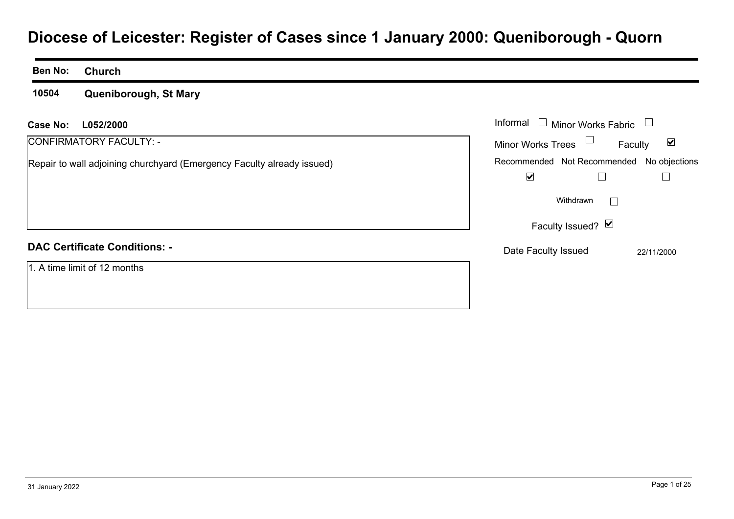# **Diocese of Leicester: Register of Cases since 1 January 2000: Queniborough - Quorn**

#### **Ben No:Church**

**10504Queniborough, St Mary**

| <b>Case No:</b><br>L052/2000                                           | Informal [<br>$\Box$ Minor Works Fabric $\;\Box$            |
|------------------------------------------------------------------------|-------------------------------------------------------------|
| CONFIRMATORY FACULTY: -                                                | <b>Minor Works Trees</b><br>$\blacktriangledown$<br>Faculty |
| Repair to wall adjoining churchyard (Emergency Faculty already issued) | Recommended Not Recommended No objections                   |
|                                                                        | $\blacktriangledown$                                        |
|                                                                        | Withdrawn                                                   |
|                                                                        | Faculty Issued? $\blacksquare$                              |
| <b>DAC Certificate Conditions: -</b>                                   | Date Faculty Issued<br>22/11/2000                           |
| 1. A time limit of 12 months                                           |                                                             |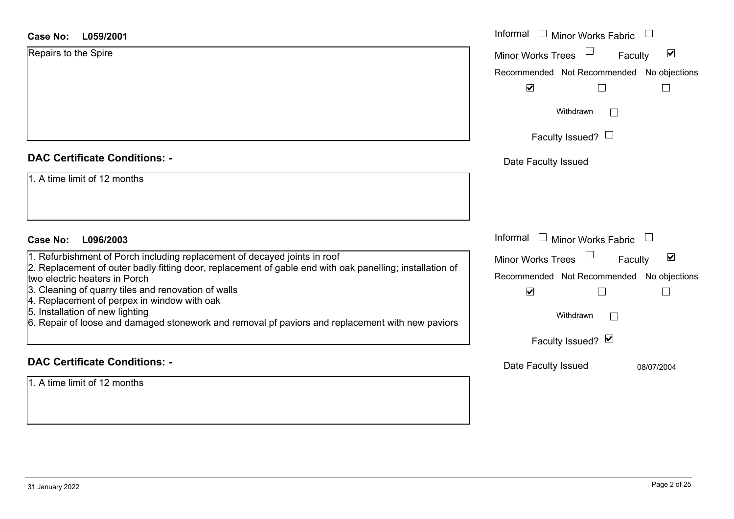| <b>Case No:</b><br>L059/2001                                                                                                              | Informal □ Minor Works Fabric                               |
|-------------------------------------------------------------------------------------------------------------------------------------------|-------------------------------------------------------------|
| Repairs to the Spire                                                                                                                      | $\blacktriangledown$<br><b>Minor Works Trees</b><br>Faculty |
|                                                                                                                                           | Recommended Not Recommended<br>No objections                |
|                                                                                                                                           | $\blacktriangledown$<br>$\vert \ \ \vert$<br>$\mathbb{L}$   |
|                                                                                                                                           | Withdrawn                                                   |
|                                                                                                                                           | Faculty Issued? $\Box$                                      |
| <b>DAC Certificate Conditions: -</b>                                                                                                      | Date Faculty Issued                                         |
| 1. A time limit of 12 months                                                                                                              |                                                             |
|                                                                                                                                           |                                                             |
|                                                                                                                                           |                                                             |
| L096/2003<br>Case No:                                                                                                                     | Informal $\Box$ Minor Works Fabric                          |
| 1. Refurbishment of Porch including replacement of decayed joints in roof                                                                 | $\blacktriangledown$<br><b>Minor Works Trees</b><br>Faculty |
| 2. Replacement of outer badly fitting door, replacement of gable end with oak panelling; installation of<br>two electric heaters in Porch | Recommended Not Recommended<br>No objections                |
| 3. Cleaning of quarry tiles and renovation of walls                                                                                       | $\blacktriangledown$                                        |
| 4. Replacement of perpex in window with oak<br>5. Installation of new lighting                                                            | Withdrawn                                                   |
| 6. Repair of loose and damaged stonework and removal pf paviors and replacement with new paviors                                          |                                                             |
|                                                                                                                                           | Faculty Issued? Ø                                           |
| <b>DAC Certificate Conditions: -</b>                                                                                                      | Date Faculty Issued<br>08/07/2004                           |
| 1. A time limit of 12 months                                                                                                              |                                                             |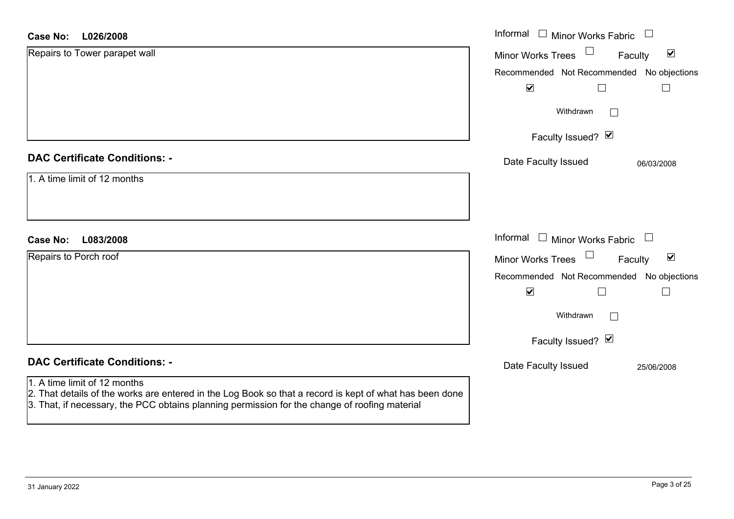| <b>Case No:</b><br>L026/2008                                                                                                                                                                                                             | Informal<br>$\Box$ Minor Works Fabric<br>$\Box$                                             |
|------------------------------------------------------------------------------------------------------------------------------------------------------------------------------------------------------------------------------------------|---------------------------------------------------------------------------------------------|
| Repairs to Tower parapet wall                                                                                                                                                                                                            | $\blacktriangledown$<br>Minor Works Trees<br>Faculty                                        |
|                                                                                                                                                                                                                                          | Recommended Not Recommended No objections                                                   |
|                                                                                                                                                                                                                                          | $\blacktriangledown$                                                                        |
|                                                                                                                                                                                                                                          | Withdrawn<br>$\mathcal{L}$                                                                  |
|                                                                                                                                                                                                                                          | Faculty Issued? Ø                                                                           |
| <b>DAC Certificate Conditions: -</b>                                                                                                                                                                                                     | Date Faculty Issued<br>06/03/2008                                                           |
| 1. A time limit of 12 months                                                                                                                                                                                                             |                                                                                             |
|                                                                                                                                                                                                                                          |                                                                                             |
|                                                                                                                                                                                                                                          |                                                                                             |
| L083/2008<br><b>Case No:</b>                                                                                                                                                                                                             | Informal<br>$\mathrel{\boxdot}$ Minor Works Fabric<br>$\begin{array}{c} \hline \end{array}$ |
| Repairs to Porch roof                                                                                                                                                                                                                    | $\Box$<br>$\blacktriangledown$<br>Minor Works Trees<br>Faculty                              |
|                                                                                                                                                                                                                                          | Recommended Not Recommended No objections                                                   |
|                                                                                                                                                                                                                                          | $\blacktriangledown$                                                                        |
|                                                                                                                                                                                                                                          | Withdrawn<br>$\Box$                                                                         |
|                                                                                                                                                                                                                                          | Faculty Issued? $\Box$                                                                      |
| <b>DAC Certificate Conditions: -</b>                                                                                                                                                                                                     | Date Faculty Issued<br>25/06/2008                                                           |
| 1. A time limit of 12 months<br>2. That details of the works are entered in the Log Book so that a record is kept of what has been done<br>3. That, if necessary, the PCC obtains planning permission for the change of roofing material |                                                                                             |

 $\sim$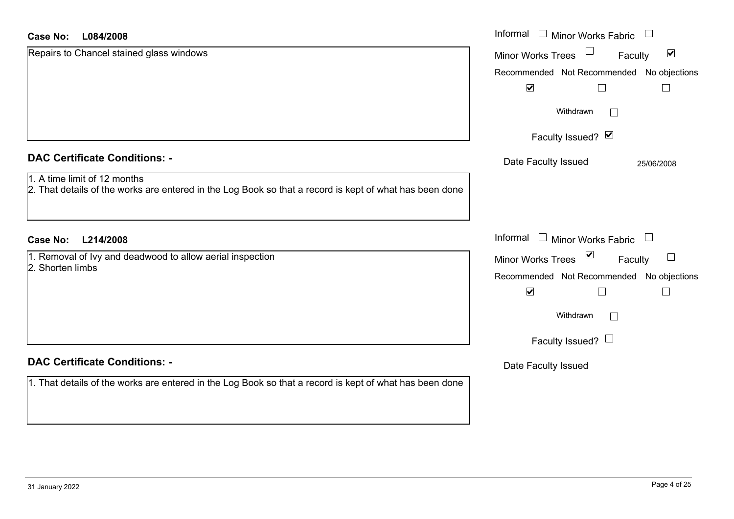#### **L084/2008Case No:**

| <b>Case No:</b><br>L084/2008                                                                                                            | Informal $\Box$ Minor Works Fabric                   |
|-----------------------------------------------------------------------------------------------------------------------------------------|------------------------------------------------------|
| Repairs to Chancel stained glass windows                                                                                                | $\blacktriangledown$<br>Minor Works Trees<br>Faculty |
|                                                                                                                                         | Recommended Not Recommended No objections            |
|                                                                                                                                         | $\blacktriangledown$                                 |
|                                                                                                                                         | Withdrawn                                            |
|                                                                                                                                         | Faculty Issued? Ø                                    |
| <b>DAC Certificate Conditions: -</b>                                                                                                    | Date Faculty Issued<br>25/06/2008                    |
| 1. A time limit of 12 months<br>2. That details of the works are entered in the Log Book so that a record is kept of what has been done |                                                      |
| <b>Case No:</b><br>L214/2008                                                                                                            | Informal $\Box$ Minor Works Fabric $\Box$            |
| 1. Removal of Ivy and deadwood to allow aerial inspection                                                                               | Minor Works Trees <b>■</b><br>$\Box$<br>Faculty      |
| 2. Shorten limbs                                                                                                                        | Recommended Not Recommended No objections            |
|                                                                                                                                         | $\blacktriangledown$                                 |
|                                                                                                                                         | Withdrawn<br>$\mathbf{I}$                            |
|                                                                                                                                         | Faculty Issued? $\Box$                               |
| <b>DAC Certificate Conditions: -</b>                                                                                                    | Date Faculty Issued                                  |
| 1. That details of the works are entered in the Log Book so that a record is kept of what has been done                                 |                                                      |
|                                                                                                                                         |                                                      |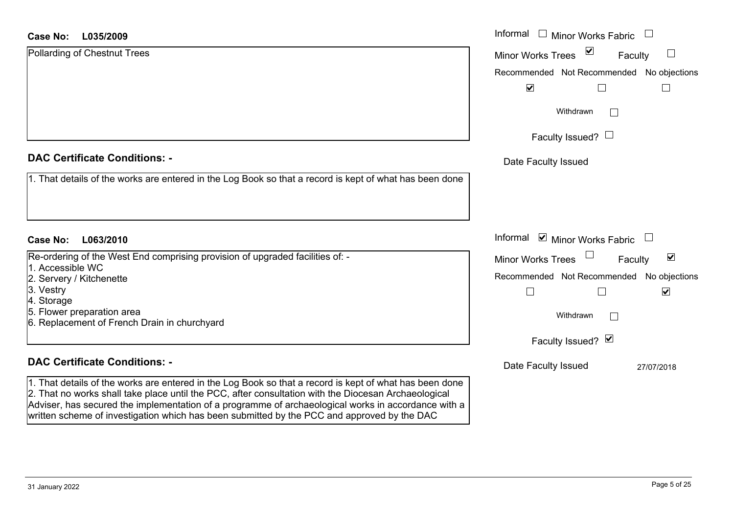#### **L035/2009Case No:**

| <b>Case No:</b><br>L035/2009                                                                            | Informal $\Box$ Minor Works Fabric                        |
|---------------------------------------------------------------------------------------------------------|-----------------------------------------------------------|
| Pollarding of Chestnut Trees                                                                            | $\triangledown$<br>Minor Works Trees<br>$\Box$<br>Faculty |
|                                                                                                         | Recommended Not Recommended No objections                 |
|                                                                                                         | $\blacktriangledown$                                      |
|                                                                                                         | Withdrawn<br>$\mathbf{I}$                                 |
|                                                                                                         | Faculty Issued? $\Box$                                    |
| <b>DAC Certificate Conditions: -</b>                                                                    | Date Faculty Issued                                       |
| 1. That details of the works are entered in the Log Book so that a record is kept of what has been done |                                                           |
|                                                                                                         |                                                           |
| L063/2010<br><b>Case No:</b>                                                                            | Informal <b>v</b> Minor Works Fabric                      |
| Re-ordering of the West End comprising provision of upgraded facilities of: -                           | Minor Works Trees<br>$\blacktriangledown$<br>Faculty      |
| 1. Accessible WC<br>2. Servery / Kitchenette                                                            | Recommended Not Recommended No objections                 |
| 3. Vestry                                                                                               | $\blacktriangledown$                                      |
| 4. Storage                                                                                              |                                                           |
| 5. Flower preparation area                                                                              | Withdrawn<br>$\mathbb{R}^n$                               |
| 6. Replacement of French Drain in churchyard                                                            |                                                           |
|                                                                                                         | Faculty Issued? $\vee$                                    |
| <b>DAC Certificate Conditions: -</b>                                                                    | Date Faculty Issued<br>27/07/2018                         |
| 1. That details of the works are entered in the Log Book so that a record is kept of what has been done |                                                           |

2. That no works shall take place until the PCC, after consultation with the Diocesan Archaeological Adviser, has secured the implementation of a programme of archaeological works in accordance with a

written scheme of investigation which has been submitted by the PCC and approved by the DAC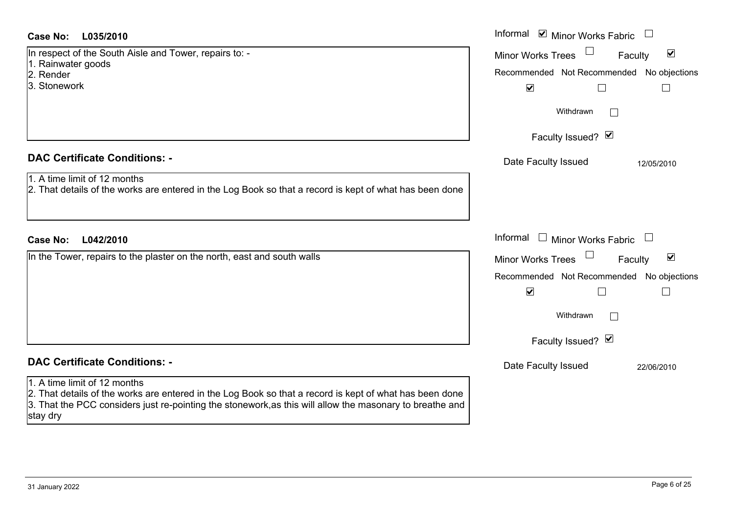| <b>Case No:</b><br>L035/2010                                                                                                                                                                                                    | Informal ⊠ Minor Works Fabric                               |
|---------------------------------------------------------------------------------------------------------------------------------------------------------------------------------------------------------------------------------|-------------------------------------------------------------|
| In respect of the South Aisle and Tower, repairs to: -                                                                                                                                                                          | $\blacktriangledown$<br><b>Minor Works Trees</b><br>Faculty |
| 1. Rainwater goods<br>2. Render                                                                                                                                                                                                 | Recommended Not Recommended No objections                   |
| 3. Stonework                                                                                                                                                                                                                    | $\blacktriangledown$<br>$\Box$                              |
|                                                                                                                                                                                                                                 | Withdrawn<br>$\vert \ \ \vert$                              |
|                                                                                                                                                                                                                                 | Faculty Issued? Ø                                           |
| <b>DAC Certificate Conditions: -</b>                                                                                                                                                                                            | Date Faculty Issued<br>12/05/2010                           |
| 1. A time limit of 12 months<br>2. That details of the works are entered in the Log Book so that a record is kept of what has been done                                                                                         |                                                             |
| L042/2010<br><b>Case No:</b>                                                                                                                                                                                                    | Informal<br>$\Box$ Minor Works Fabric                       |
| In the Tower, repairs to the plaster on the north, east and south walls                                                                                                                                                         | $\blacktriangledown$<br><b>Minor Works Trees</b><br>Faculty |
|                                                                                                                                                                                                                                 | Recommended Not Recommended No objections                   |
|                                                                                                                                                                                                                                 | $\blacktriangledown$<br>$\Box$                              |
|                                                                                                                                                                                                                                 | Withdrawn<br>$\vert \ \ \vert$                              |
|                                                                                                                                                                                                                                 | Faculty Issued? Ø                                           |
| <b>DAC Certificate Conditions: -</b>                                                                                                                                                                                            | Date Faculty Issued<br>22/06/2010                           |
| 1. A time limit of 12 months                                                                                                                                                                                                    |                                                             |
| 2. That details of the works are entered in the Log Book so that a record is kept of what has been done<br>3. That the PCC considers just re-pointing the stonework, as this will allow the masonary to breathe and<br>stay dry |                                                             |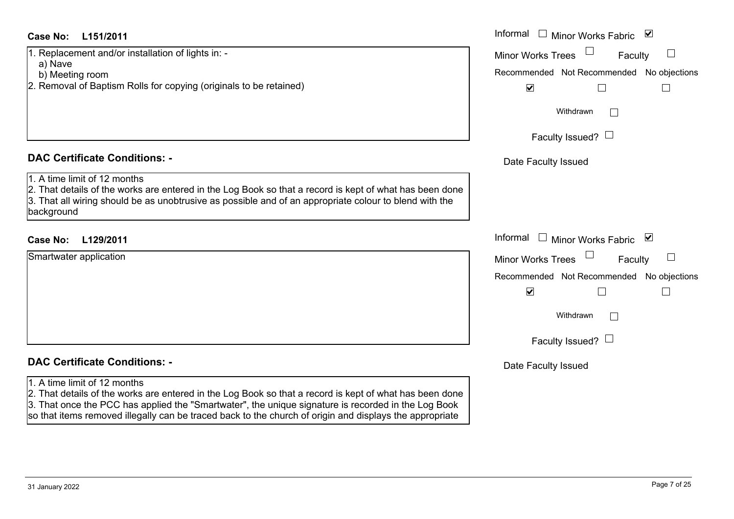#### **L151/2011Case No:** Informal

1. Replacement and/or installation of lights in: -

- a) Nave
- b) Meeting room
- 2. Removal of Baptism Rolls for copying (originals to be retained)

#### **DAC Certificate Conditions: -**

#### 1. A time limit of 12 months

2. That details of the works are entered in the Log Book so that a record is kept of what has been done 3. That all wiring should be as unobtrusive as possible and of an appropriate colour to blend with the background

#### **L129/2011Case No:** Informal

| Smartwater application |  |  |
|------------------------|--|--|
|                        |  |  |
|                        |  |  |
|                        |  |  |
|                        |  |  |
|                        |  |  |
|                        |  |  |

#### **DAC Certificate Conditions: -**

#### 1. A time limit of 12 months

2. That details of the works are entered in the Log Book so that a record is kept of what has been done 3. That once the PCC has applied the "Smartwater", the unique signature is recorded in the Log Book so that items removed illegally can be traced back to the church of origin and displays the appropriate

| Informal                 | <b>Minor Works Fabric</b>                 | $\overline{\mathbf{v}}$ |
|--------------------------|-------------------------------------------|-------------------------|
| <b>Minor Works Trees</b> | Faculty                                   |                         |
|                          | Recommended Not Recommended No objections |                         |
| $\blacktriangledown$     |                                           |                         |
|                          | Withdrawn                                 |                         |
|                          | Faculty Issued?                           |                         |
| Date Faculty Issued      |                                           |                         |
|                          |                                           |                         |
|                          |                                           |                         |
| Informal                 | <b>Minor Works Fabric</b>                 | ⊻                       |
| <b>Minor Works Trees</b> | Faculty                                   |                         |
|                          | Recommended Not Recommended No objections |                         |
| $\blacktriangledown$     |                                           |                         |
|                          | Withdrawn                                 |                         |
|                          | Faculty Issued?                           |                         |
| Date Faculty Issued      |                                           |                         |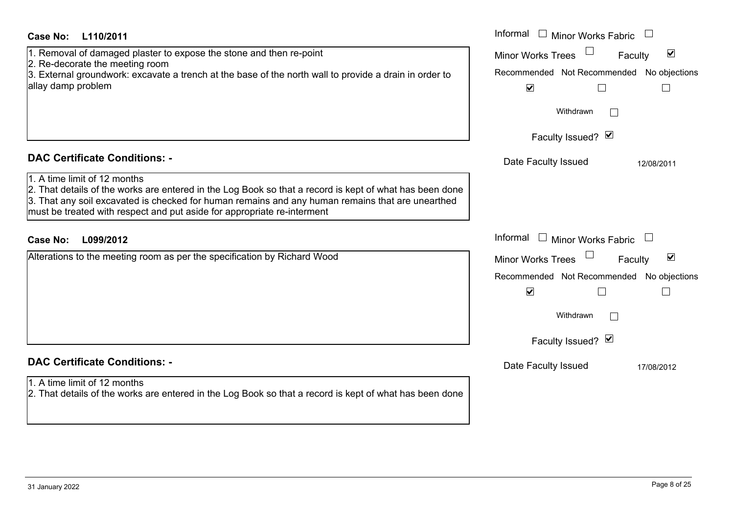| <b>Case No:</b><br>L110/2011                                                                                                                                                                                                                                                                                           | Informal<br>$\Box$ Minor Works Fabric                       |
|------------------------------------------------------------------------------------------------------------------------------------------------------------------------------------------------------------------------------------------------------------------------------------------------------------------------|-------------------------------------------------------------|
| 1. Removal of damaged plaster to expose the stone and then re-point                                                                                                                                                                                                                                                    | $\blacktriangledown$<br><b>Minor Works Trees</b><br>Faculty |
| 2. Re-decorate the meeting room<br>3. External groundwork: excavate a trench at the base of the north wall to provide a drain in order to                                                                                                                                                                              | Recommended Not Recommended No objections                   |
| allay damp problem                                                                                                                                                                                                                                                                                                     | $\blacktriangledown$<br>$\Box$                              |
|                                                                                                                                                                                                                                                                                                                        | Withdrawn                                                   |
|                                                                                                                                                                                                                                                                                                                        | Faculty Issued? Ø                                           |
| <b>DAC Certificate Conditions: -</b>                                                                                                                                                                                                                                                                                   | Date Faculty Issued<br>12/08/2011                           |
| 1. A time limit of 12 months<br>2. That details of the works are entered in the Log Book so that a record is kept of what has been done<br>3. That any soil excavated is checked for human remains and any human remains that are unearthed<br>must be treated with respect and put aside for appropriate re-interment |                                                             |
| Case No:<br>L099/2012                                                                                                                                                                                                                                                                                                  | Informal<br>$\Box$ Minor Works Fabric                       |
| Alterations to the meeting room as per the specification by Richard Wood                                                                                                                                                                                                                                               | $\blacktriangledown$<br><b>Minor Works Trees</b><br>Faculty |
|                                                                                                                                                                                                                                                                                                                        | Recommended Not Recommended No objections                   |
|                                                                                                                                                                                                                                                                                                                        | $\blacktriangledown$                                        |
|                                                                                                                                                                                                                                                                                                                        | Withdrawn                                                   |
|                                                                                                                                                                                                                                                                                                                        | Faculty Issued? Ø                                           |
| <b>DAC Certificate Conditions: -</b>                                                                                                                                                                                                                                                                                   | Date Faculty Issued<br>17/08/2012                           |
| 1. A time limit of 12 months<br>2. That details of the works are entered in the Log Book so that a record is kept of what has been done                                                                                                                                                                                |                                                             |
|                                                                                                                                                                                                                                                                                                                        |                                                             |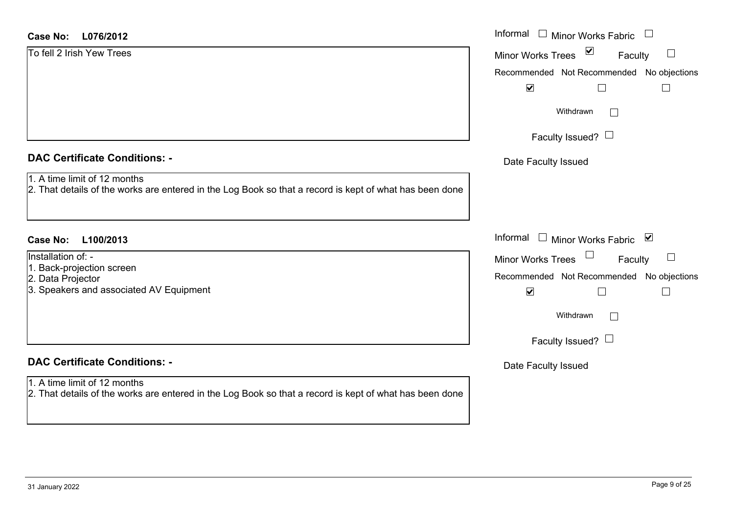#### **L076/2012Case No:** Informal

#### **DAC Certificate Conditions: -**

- 1. A time limit of 12 months
- 2. That details of the works are entered in the Log Book so that a record is kept of what has been do

#### **L100/2013Case No:** Informal

Installation of: -

- 1. Back-projection screen
- 2. Data Projector
- 3. Speakers and associated AV Equipment

### **DAC Certificate Conditions: -**

#### 1. A time limit of 12 months

2. That details of the works are entered in the Log Book so that a record is kept of what has been done

|     | Informal<br><b>Minor Works Fabric</b>                            |
|-----|------------------------------------------------------------------|
|     | ⊻<br><b>Minor Works Trees</b><br>Faculty                         |
|     | Recommended Not Recommended No objections                        |
|     | $\blacktriangledown$                                             |
|     | Withdrawn                                                        |
|     | Faculty Issued?                                                  |
|     | Date Faculty Issued                                              |
| one |                                                                  |
|     |                                                                  |
|     | Informal<br>$\overline{\mathbf{v}}$<br><b>Minor Works Fabric</b> |
|     | <b>Minor Works Trees</b><br>Faculty                              |
|     | Recommended Not Recommended No objections                        |
|     | $\blacktriangledown$                                             |
|     | Withdrawn                                                        |
|     | Faculty Issued?                                                  |
|     | Date Faculty Issued                                              |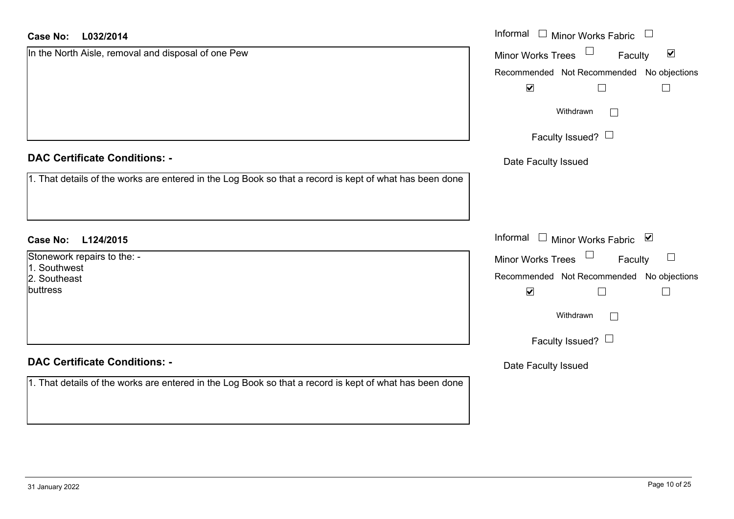| Case No: L032/2014                                                                                      | Informal $\Box$ Minor Works Fabric $\Box$                             |
|---------------------------------------------------------------------------------------------------------|-----------------------------------------------------------------------|
| In the North Aisle, removal and disposal of one Pew                                                     | $\Box$<br>$\blacktriangledown$<br><b>Minor Works Trees</b><br>Faculty |
|                                                                                                         | Recommended Not Recommended No objections                             |
|                                                                                                         | $\blacktriangledown$                                                  |
|                                                                                                         | Withdrawn<br>$\Box$                                                   |
|                                                                                                         | Faculty Issued? $\Box$                                                |
| <b>DAC Certificate Conditions: -</b>                                                                    | Date Faculty Issued                                                   |
| 1. That details of the works are entered in the Log Book so that a record is kept of what has been done |                                                                       |
| <b>Case No:</b><br>L124/2015                                                                            | Informal □ Minor Works Fabric ⊠                                       |
| Stonework repairs to the: -                                                                             | Minor Works Trees<br>Faculty<br>$\Box$                                |
| 1. Southwest<br>2. Southeast                                                                            | Recommended Not Recommended No objections                             |
| buttress                                                                                                | $\blacktriangledown$<br>$\Box$                                        |
|                                                                                                         | Withdrawn<br>$\Box$                                                   |
|                                                                                                         | Faculty Issued? $\Box$                                                |
| <b>DAC Certificate Conditions: -</b>                                                                    | Date Faculty Issued                                                   |
| 1. That details of the works are entered in the Log Book so that a record is kept of what has been done |                                                                       |
|                                                                                                         |                                                                       |
|                                                                                                         |                                                                       |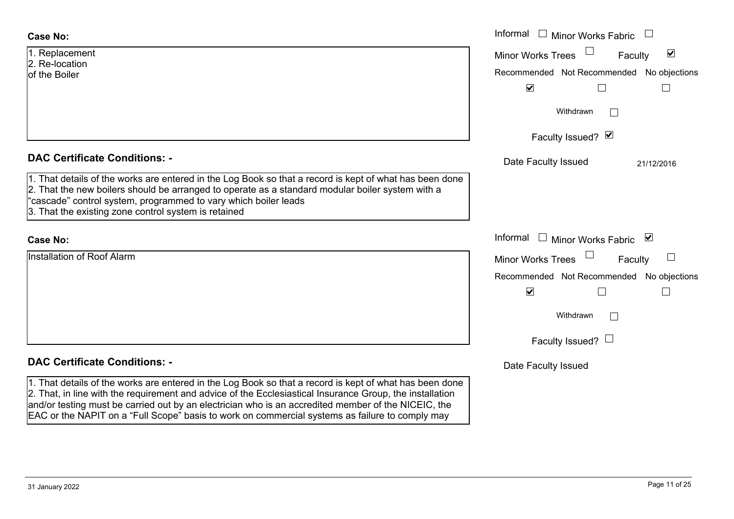| <b>Case No:</b>                                                                                                                                                                                                                                                                                                                        | Informal $\Box$ Minor Works Fabric                                |
|----------------------------------------------------------------------------------------------------------------------------------------------------------------------------------------------------------------------------------------------------------------------------------------------------------------------------------------|-------------------------------------------------------------------|
| 1. Replacement<br>2. Re-location                                                                                                                                                                                                                                                                                                       | $\blacktriangledown$<br>Minor Works Trees<br>Faculty              |
| of the Boiler                                                                                                                                                                                                                                                                                                                          | Recommended Not Recommended No objections<br>$\blacktriangledown$ |
|                                                                                                                                                                                                                                                                                                                                        | Withdrawn                                                         |
|                                                                                                                                                                                                                                                                                                                                        | Faculty Issued? Ø                                                 |
| <b>DAC Certificate Conditions: -</b>                                                                                                                                                                                                                                                                                                   | Date Faculty Issued<br>21/12/2016                                 |
| 1. That details of the works are entered in the Log Book so that a record is kept of what has been done<br>2. That the new boilers should be arranged to operate as a standard modular boiler system with a<br>"cascade" control system, programmed to vary which boiler leads<br>3. That the existing zone control system is retained |                                                                   |
| <b>Case No:</b>                                                                                                                                                                                                                                                                                                                        | Informal<br>$\mathrel{\sqcup}$ Minor Works Fabric<br>⊻            |
| Installation of Roof Alarm                                                                                                                                                                                                                                                                                                             | <b>Minor Works Trees</b><br>Faculty                               |
|                                                                                                                                                                                                                                                                                                                                        | Recommended Not Recommended No objections                         |
|                                                                                                                                                                                                                                                                                                                                        | $\blacktriangledown$                                              |
|                                                                                                                                                                                                                                                                                                                                        | Withdrawn                                                         |
|                                                                                                                                                                                                                                                                                                                                        | Faculty Issued? $\Box$                                            |
| <b>DAC Certificate Conditions: -</b>                                                                                                                                                                                                                                                                                                   | Date Faculty Issued                                               |
| 1. That details of the works are entered in the Log Book so that a record is kept of what has been done<br>2. That, in line with the requirement and advice of the Ecclesiastical Insurance Group, the installation<br>and/or testing must be carried out by an electrician who is an accredited member of the NICEIC, the             |                                                                   |

EAC or the NAPIT on a "Full Scope" basis to work on commercial systems as failure to comply may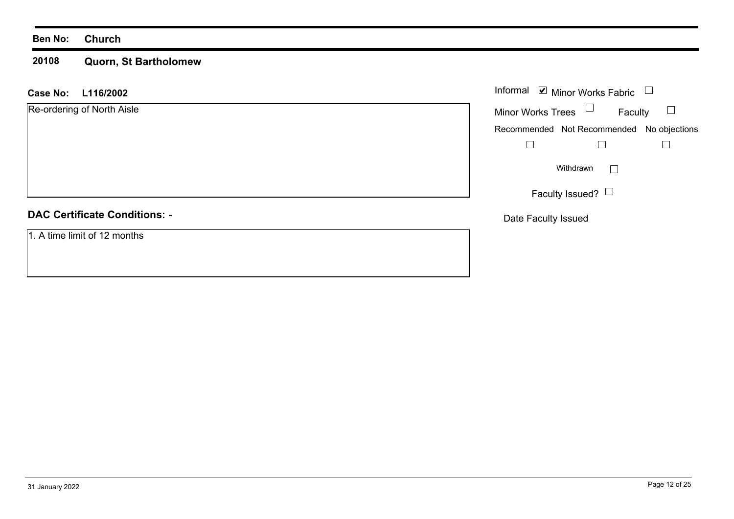#### **Ben No: Church**

#### **20108 Quorn, St Bartholomew**

| <b>Case No:</b><br>L116/2002         | Informal <b>☑</b> Minor Works Fabric<br>$\Box$ |
|--------------------------------------|------------------------------------------------|
| Re-ordering of North Aisle           | Minor Works Trees $\Box$<br>Faculty            |
|                                      | Recommended Not Recommended No objections      |
|                                      |                                                |
|                                      | Withdrawn                                      |
|                                      | Faculty Issued? $\Box$                         |
| <b>DAC Certificate Conditions: -</b> | Date Faculty Issued                            |
| 1. A time limit of 12 months         |                                                |
|                                      |                                                |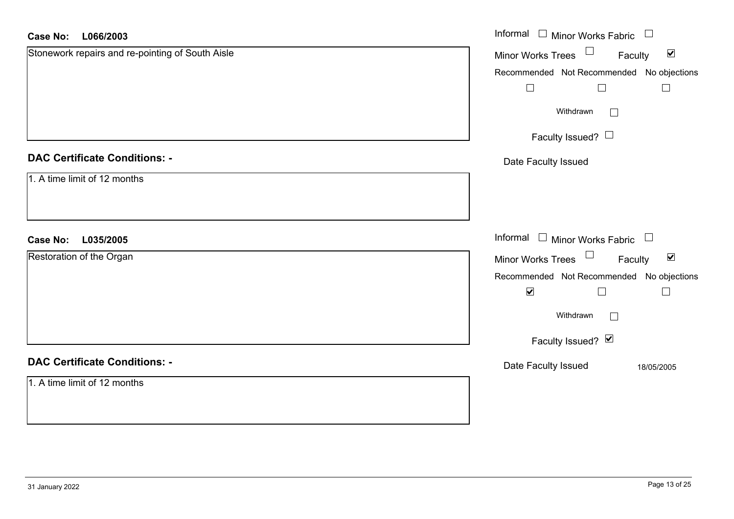| <b>Case No:</b><br>L066/2003                     | Informal □ Minor Works Fabric □                                  |
|--------------------------------------------------|------------------------------------------------------------------|
| Stonework repairs and re-pointing of South Aisle | $\Box$<br>$\blacktriangledown$<br>Minor Works Trees<br>Faculty   |
|                                                  | Recommended Not Recommended No objections                        |
|                                                  | $\Box$<br>$\Box$                                                 |
|                                                  | Withdrawn<br>$\Box$                                              |
|                                                  | Faculty Issued? $\Box$                                           |
| <b>DAC Certificate Conditions: -</b>             | Date Faculty Issued                                              |
| 1. A time limit of 12 months                     |                                                                  |
|                                                  |                                                                  |
| <b>Case No:</b><br>L035/2005                     | Informal $\Box$ Minor Works Fabric $\Box$                        |
| Restoration of the Organ                         | Minor Works Trees<br>$\blacktriangledown$<br>Faculty             |
|                                                  | Recommended Not Recommended No objections                        |
|                                                  | $\blacktriangledown$<br>$\overline{\phantom{a}}$<br>$\mathsf{L}$ |
|                                                  | Withdrawn<br>$\Box$                                              |
|                                                  | Faculty Issued? Ø                                                |
| <b>DAC Certificate Conditions: -</b>             | Date Faculty Issued<br>18/05/2005                                |
| 1. A time limit of 12 months                     |                                                                  |
|                                                  |                                                                  |
|                                                  |                                                                  |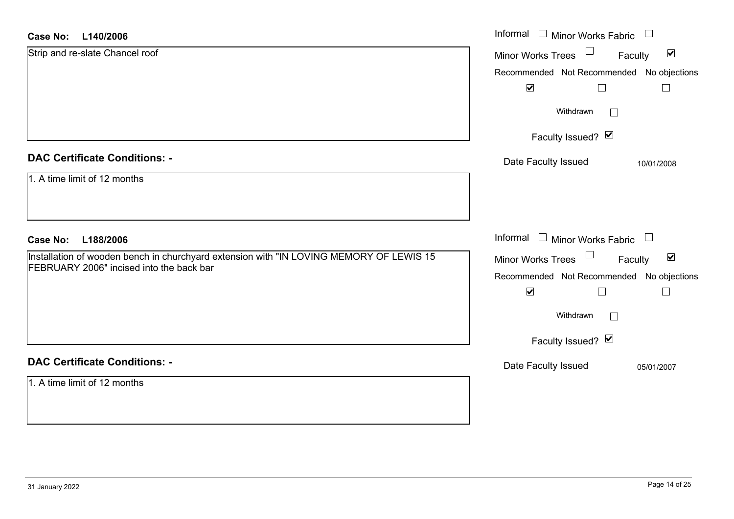#### **L140/2006Case No:**

| L140/2006<br><b>Case No:</b>                                                                                                        | Informal $\Box$ Minor Works Fabric $\Box$                                   |
|-------------------------------------------------------------------------------------------------------------------------------------|-----------------------------------------------------------------------------|
| Strip and re-slate Chancel roof                                                                                                     | Minor Works Trees<br>$\blacktriangledown$<br>Faculty                        |
|                                                                                                                                     | Recommended Not Recommended No objections<br>$\blacktriangledown$<br>$\Box$ |
|                                                                                                                                     | Withdrawn<br>$\Box$                                                         |
|                                                                                                                                     | Faculty Issued? $\vee$                                                      |
| <b>DAC Certificate Conditions: -</b>                                                                                                | Date Faculty Issued<br>10/01/2008                                           |
| 1. A time limit of 12 months                                                                                                        |                                                                             |
|                                                                                                                                     |                                                                             |
| <b>Case No:</b><br>L188/2006                                                                                                        | Informal $\Box$ Minor Works Fabric $\Box$                                   |
| Installation of wooden bench in churchyard extension with "IN LOVING MEMORY OF LEWIS 15<br>FEBRUARY 2006" incised into the back bar | Minor Works Trees $\Box$<br>$\blacktriangledown$<br>Faculty                 |
|                                                                                                                                     | Recommended Not Recommended No objections<br>$\blacktriangledown$           |
|                                                                                                                                     | Withdrawn<br>$\Box$                                                         |
|                                                                                                                                     | Faculty Issued? Ø                                                           |
| <b>DAC Certificate Conditions: -</b>                                                                                                | Date Faculty Issued<br>05/01/2007                                           |
| 1. A time limit of 12 months                                                                                                        |                                                                             |
|                                                                                                                                     |                                                                             |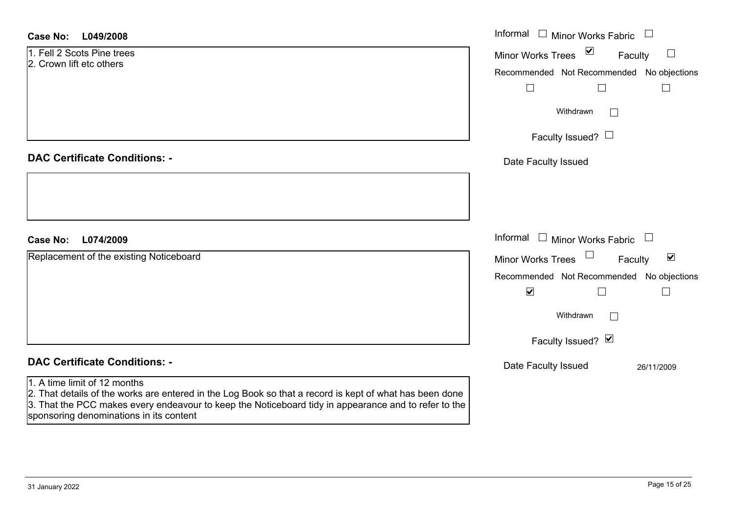| Case No: | L049/2008 |
|----------|-----------|
|----------|-----------|

| <b>Case No:</b><br>L049/2008                                                                                                                                                                                                                    | Informal $\Box$ Minor Works Fabric $\Box$                   |
|-------------------------------------------------------------------------------------------------------------------------------------------------------------------------------------------------------------------------------------------------|-------------------------------------------------------------|
| 1. Fell 2 Scots Pine trees<br>2. Crown lift etc others                                                                                                                                                                                          | $\sum$<br>$\sqcup$<br>Minor Works Trees<br>Faculty          |
|                                                                                                                                                                                                                                                 | Recommended Not Recommended No objections                   |
|                                                                                                                                                                                                                                                 | $\Box$                                                      |
|                                                                                                                                                                                                                                                 | Withdrawn<br>$\Box$                                         |
|                                                                                                                                                                                                                                                 | Faculty Issued? $\Box$                                      |
| <b>DAC Certificate Conditions: -</b>                                                                                                                                                                                                            | Date Faculty Issued                                         |
|                                                                                                                                                                                                                                                 |                                                             |
|                                                                                                                                                                                                                                                 |                                                             |
| <b>Case No:</b><br>L074/2009                                                                                                                                                                                                                    | Informal $\Box$ Minor Works Fabric $\Box$                   |
| Replacement of the existing Noticeboard                                                                                                                                                                                                         | $\blacktriangledown$<br><b>Minor Works Trees</b><br>Faculty |
|                                                                                                                                                                                                                                                 | Recommended Not Recommended No objections                   |
|                                                                                                                                                                                                                                                 | $\blacktriangledown$<br>$\Box$                              |
|                                                                                                                                                                                                                                                 | Withdrawn<br>$\Box$                                         |
|                                                                                                                                                                                                                                                 | Faculty Issued? Ø                                           |
| <b>DAC Certificate Conditions: -</b>                                                                                                                                                                                                            | Date Faculty Issued<br>26/11/2009                           |
| 1. A time limit of 12 months<br>2. That details of the works are entered in the Log Book so that a record is kept of what has been done<br>3. That the PCC makes every endeavour to keep the Noticeboard tidy in appearance and to refer to the |                                                             |

sponsoring denominations in its content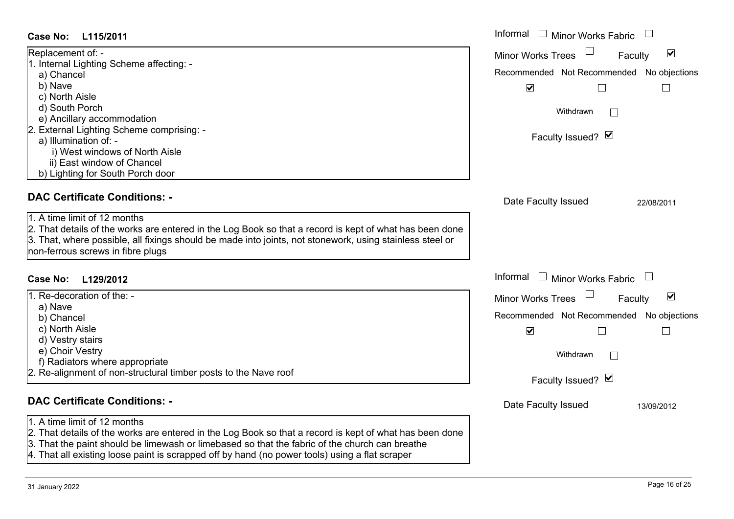#### **L115/2011Case No:**

| <b>Case No:</b><br>L115/2011                                                                                                                                                                                                                                                             | Informal □ Minor Works Fabric                               |
|------------------------------------------------------------------------------------------------------------------------------------------------------------------------------------------------------------------------------------------------------------------------------------------|-------------------------------------------------------------|
| Replacement of: -                                                                                                                                                                                                                                                                        | $\blacktriangledown$<br><b>Minor Works Trees</b><br>Faculty |
| 1. Internal Lighting Scheme affecting: -                                                                                                                                                                                                                                                 | Recommended Not Recommended No objections                   |
| a) Chancel                                                                                                                                                                                                                                                                               |                                                             |
| b) Nave                                                                                                                                                                                                                                                                                  | $\blacktriangledown$                                        |
| c) North Aisle                                                                                                                                                                                                                                                                           |                                                             |
| d) South Porch<br>e) Ancillary accommodation                                                                                                                                                                                                                                             | Withdrawn<br>$\mathbb{R}^n$                                 |
| 2. External Lighting Scheme comprising: -                                                                                                                                                                                                                                                |                                                             |
| a) Illumination of: -                                                                                                                                                                                                                                                                    | Faculty Issued? Ø                                           |
| i) West windows of North Aisle                                                                                                                                                                                                                                                           |                                                             |
| ii) East window of Chancel                                                                                                                                                                                                                                                               |                                                             |
| b) Lighting for South Porch door                                                                                                                                                                                                                                                         |                                                             |
|                                                                                                                                                                                                                                                                                          |                                                             |
| <b>DAC Certificate Conditions: -</b>                                                                                                                                                                                                                                                     | Date Faculty Issued<br>22/08/2011                           |
| 1. A time limit of 12 months<br>2. That details of the works are entered in the Log Book so that a record is kept of what has been done<br>3. That, where possible, all fixings should be made into joints, not stonework, using stainless steel or<br>non-ferrous screws in fibre plugs |                                                             |
| L129/2012<br><b>Case No:</b>                                                                                                                                                                                                                                                             | Informal<br>$\Box$ Minor Works Fabric                       |
| I. Re-decoration of the: -                                                                                                                                                                                                                                                               | $\blacktriangledown$<br><b>Minor Works Trees</b><br>Faculty |
| a) Nave                                                                                                                                                                                                                                                                                  |                                                             |
| b) Chancel                                                                                                                                                                                                                                                                               | Recommended Not Recommended No objections                   |
| c) North Aisle                                                                                                                                                                                                                                                                           | $\blacktriangledown$<br>$\Box$<br>$\vert \ \ \vert$         |
| d) Vestry stairs                                                                                                                                                                                                                                                                         |                                                             |
| e) Choir Vestry                                                                                                                                                                                                                                                                          | Withdrawn<br>$\mathbb{R}^n$                                 |
| f) Radiators where appropriate                                                                                                                                                                                                                                                           |                                                             |
| . Re-alignment of non-structural timber posts to the Nave roof                                                                                                                                                                                                                           | Faculty Issued? Ø                                           |
|                                                                                                                                                                                                                                                                                          |                                                             |
| <b>DAC Certificate Conditions: -</b>                                                                                                                                                                                                                                                     | Date Faculty Issued<br>13/09/2012                           |
| 1. A time limit of 12 months                                                                                                                                                                                                                                                             |                                                             |
| 2. That details of the works are entered in the Log Book so that a record is kept of what has been done                                                                                                                                                                                  |                                                             |
| 3. That the paint should be limewash or limebased so that the fabric of the church can breathe                                                                                                                                                                                           |                                                             |

4. That all existing loose paint is scrapped off by hand (no power tools) using a flat scraper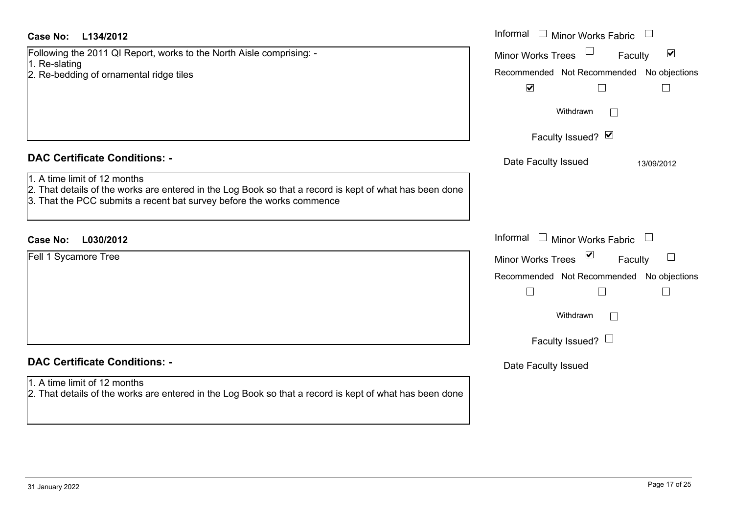| Case No:<br>L134/2012                                                                                                                                                                                            | Informal $\Box$ Minor Works Fabric $\Box$                         |
|------------------------------------------------------------------------------------------------------------------------------------------------------------------------------------------------------------------|-------------------------------------------------------------------|
| Following the 2011 QI Report, works to the North Aisle comprising: -                                                                                                                                             | Minor Works Trees <sup>1</sup><br>$\blacktriangledown$<br>Faculty |
| 1. Re-slating<br>2. Re-bedding of ornamental ridge tiles                                                                                                                                                         | Recommended Not Recommended No objections                         |
|                                                                                                                                                                                                                  | $\blacktriangledown$<br>⊔<br>$\Box$                               |
|                                                                                                                                                                                                                  | Withdrawn                                                         |
|                                                                                                                                                                                                                  | Faculty Issued? Ø                                                 |
| <b>DAC Certificate Conditions: -</b>                                                                                                                                                                             | Date Faculty Issued<br>13/09/2012                                 |
| 1. A time limit of 12 months<br>2. That details of the works are entered in the Log Book so that a record is kept of what has been done<br>3. That the PCC submits a recent bat survey before the works commence |                                                                   |
| Case No:<br>L030/2012                                                                                                                                                                                            | Informal $\Box$ Minor Works Fabric $\Box$                         |
| Fell 1 Sycamore Tree                                                                                                                                                                                             | Minor Works Trees<br>$\Box$<br>Faculty                            |
|                                                                                                                                                                                                                  | Recommended Not Recommended No objections                         |
|                                                                                                                                                                                                                  | $\Box$<br>$\mathbb{R}^n$<br>$\Box$                                |
|                                                                                                                                                                                                                  | Withdrawn                                                         |
|                                                                                                                                                                                                                  | Faculty Issued? $\Box$                                            |
| <b>DAC Certificate Conditions: -</b>                                                                                                                                                                             | Date Faculty Issued                                               |
| 1. A time limit of 12 months<br>2. That details of the works are entered in the Log Book so that a record is kept of what has been done                                                                          |                                                                   |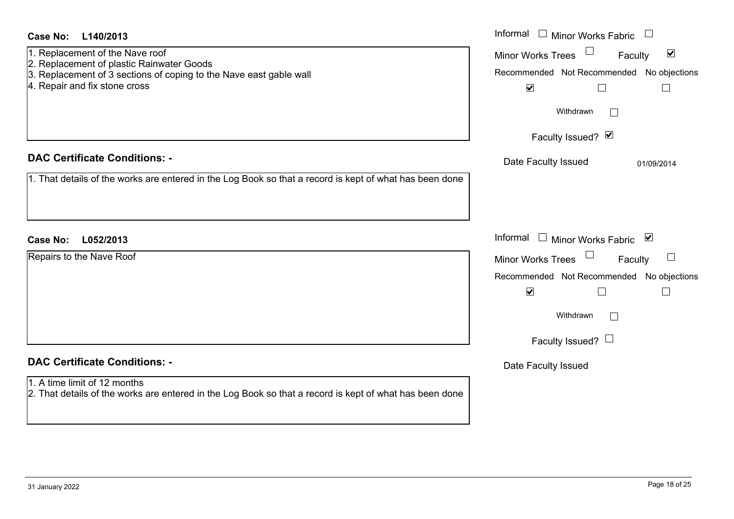| <b>Case No:</b><br>L140/2013                                                                                                            | Informal $\Box$ Minor Works Fabric                                    |
|-----------------------------------------------------------------------------------------------------------------------------------------|-----------------------------------------------------------------------|
| 1. Replacement of the Nave roof                                                                                                         | $\Box$<br>$\blacktriangledown$<br><b>Minor Works Trees</b><br>Faculty |
| 2. Replacement of plastic Rainwater Goods<br>3. Replacement of 3 sections of coping to the Nave east gable wall                         | Recommended Not Recommended No objections                             |
| 4. Repair and fix stone cross                                                                                                           | $\blacktriangledown$<br>$\Box$<br>$\Box$                              |
|                                                                                                                                         | Withdrawn<br>$\Box$                                                   |
|                                                                                                                                         | Faculty Issued? Ø                                                     |
| <b>DAC Certificate Conditions: -</b>                                                                                                    | Date Faculty Issued<br>01/09/2014                                     |
| 1. That details of the works are entered in the Log Book so that a record is kept of what has been done                                 |                                                                       |
|                                                                                                                                         |                                                                       |
| <b>Case No:</b><br>L052/2013                                                                                                            | Informal □ Minor Works Fabric ⊠                                       |
| Repairs to the Nave Roof                                                                                                                | $\Box$<br>$\Box$<br><b>Minor Works Trees</b><br>Faculty               |
|                                                                                                                                         | Recommended Not Recommended No objections                             |
|                                                                                                                                         | $\blacktriangledown$<br>$\Box$<br>$\mathbf{I}$                        |
|                                                                                                                                         | Withdrawn<br>$\Box$                                                   |
|                                                                                                                                         | Faculty Issued? $\Box$                                                |
| <b>DAC Certificate Conditions: -</b>                                                                                                    | Date Faculty Issued                                                   |
| 1. A time limit of 12 months<br>2. That details of the works are entered in the Log Book so that a record is kept of what has been done |                                                                       |
|                                                                                                                                         |                                                                       |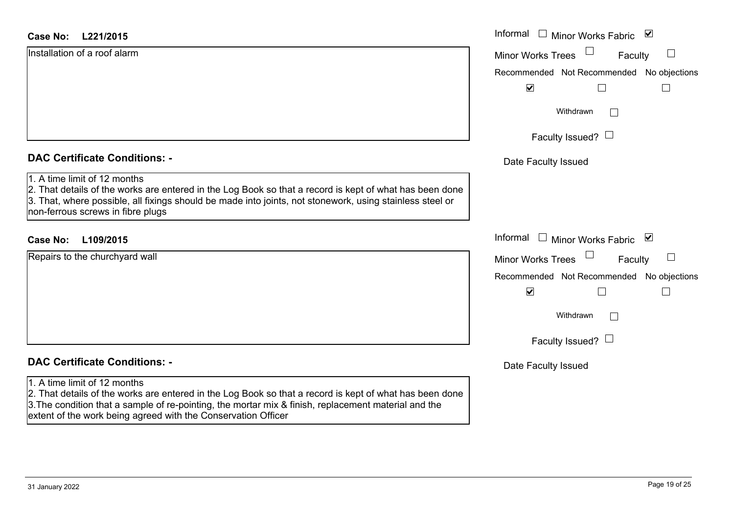#### **L221/2015Case No:** Informal

Installation of a roof alarm

#### **DAC Certificate Conditions: -**

#### 1. A time limit of 12 months

2. That details of the works are entered in the Log Book so that a record is kept of what has been done 3. That, where possible, all fixings should be made into joints, not stonework, using stainless steel or non-ferrous screws in fibre plugs

#### **L109/2015Case No:** Informal

| Repairs to the churchyard wall |  |
|--------------------------------|--|
|                                |  |
|                                |  |
|                                |  |
|                                |  |
|                                |  |
|                                |  |

### **DAC Certificate Conditions: -**

#### 1. A time limit of 12 months

2. That details of the works are entered in the Log Book so that a record is kept of what has been done 3.The condition that a sample of re-pointing, the mortar mix & finish, replacement material and the extent of the work being agreed with the Conservation Officer

|   | Informal<br>$\blacktriangledown$<br><b>Minor Works Fabric</b>                    |
|---|----------------------------------------------------------------------------------|
|   | <b>Minor Works Trees</b><br>Faculty<br>Recommended Not Recommended No objections |
|   | $\blacktriangledown$                                                             |
|   | Withdrawn                                                                        |
|   | Faculty Issued? L                                                                |
|   | Date Faculty Issued                                                              |
| e |                                                                                  |
|   | Informal<br>⊻<br><b>Minor Works Fabric</b>                                       |
|   | <b>Minor Works Trees</b><br>Faculty                                              |
|   | Recommended Not Recommended No objections                                        |
|   | $\blacktriangledown$                                                             |
|   | Withdrawn                                                                        |
|   | Faculty Issued? I                                                                |
|   | Date Faculty Issued                                                              |
|   |                                                                                  |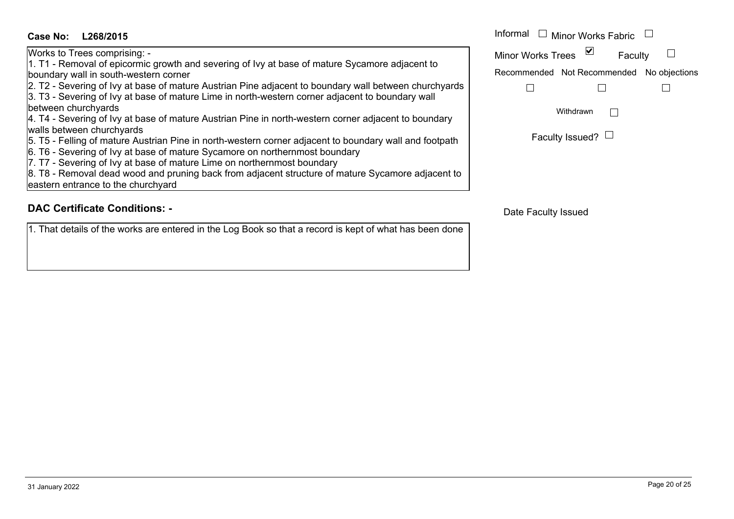#### **L268/2015Case No:** Informal

Works to Trees comprising: - 1. T1 - Removal of epicormic growth and severing of Ivy at base of mature Sycamore adjacent to boundary wall in south-western corner

2. T2 - Severing of Ivy at base of mature Austrian Pine adjacent to boundary wall between churchyards

3. T3 - Severing of Ivy at base of mature Lime in north-western corner adjacent to boundary wall between churchyards

4. T4 - Severing of Ivy at base of mature Austrian Pine in north-western corner adjacent to boundary walls between churchyards

5. T5 - Felling of mature Austrian Pine in north-western corner adjacent to boundary wall and footpath

6. T6 - Severing of Ivy at base of mature Sycamore on northernmost boundary

7. T7 - Severing of Ivy at base of mature Lime on northernmost boundary

8. T8 - Removal dead wood and pruning back from adjacent structure of mature Sycamore adjacent to eastern entrance to the churchyard

#### **DAC Certificate Conditions: -**

1. That details of the works are entered in the Log Book so that a record is kept of what has been done

| Informal                 | $\Box$ Minor Works Fabric                 |  |  |
|--------------------------|-------------------------------------------|--|--|
| <b>Minor Works Trees</b> | ⊻<br>Faculty                              |  |  |
|                          | Recommended Not Recommended No objections |  |  |
|                          |                                           |  |  |
| Withdrawn                |                                           |  |  |
|                          | Faculty Issued?                           |  |  |

Date Faculty Issued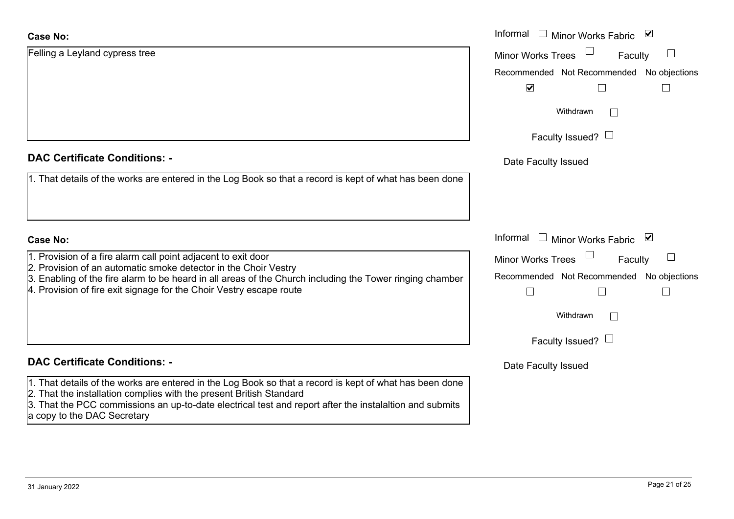#### **Case No:**

| <b>Case No:</b>                                                                                                                                                                                                                                                                                                          | Informal □ Minor Works Fabric<br>⊻         |
|--------------------------------------------------------------------------------------------------------------------------------------------------------------------------------------------------------------------------------------------------------------------------------------------------------------------------|--------------------------------------------|
| Felling a Leyland cypress tree                                                                                                                                                                                                                                                                                           | <b>Minor Works Trees</b><br>Faculty        |
|                                                                                                                                                                                                                                                                                                                          | Recommended Not Recommended No objections  |
|                                                                                                                                                                                                                                                                                                                          | $\blacktriangledown$                       |
|                                                                                                                                                                                                                                                                                                                          | Withdrawn                                  |
|                                                                                                                                                                                                                                                                                                                          | Faculty Issued? $\Box$                     |
| <b>DAC Certificate Conditions: -</b>                                                                                                                                                                                                                                                                                     | Date Faculty Issued                        |
| 1. That details of the works are entered in the Log Book so that a record is kept of what has been done                                                                                                                                                                                                                  |                                            |
|                                                                                                                                                                                                                                                                                                                          |                                            |
| Case No:                                                                                                                                                                                                                                                                                                                 | Informal<br>$\Box$ Minor Works Fabric<br>⊻ |
| 1. Provision of a fire alarm call point adjacent to exit door                                                                                                                                                                                                                                                            | <b>Minor Works Trees</b><br>Faculty        |
| 2. Provision of an automatic smoke detector in the Choir Vestry<br>3. Enabling of the fire alarm to be heard in all areas of the Church including the Tower ringing chamber                                                                                                                                              | Recommended Not Recommended No objections  |
| 4. Provision of fire exit signage for the Choir Vestry escape route                                                                                                                                                                                                                                                      |                                            |
|                                                                                                                                                                                                                                                                                                                          | Withdrawn                                  |
|                                                                                                                                                                                                                                                                                                                          | Faculty Issued? $\Box$                     |
| <b>DAC Certificate Conditions: -</b>                                                                                                                                                                                                                                                                                     | Date Faculty Issued                        |
| 1. That details of the works are entered in the Log Book so that a record is kept of what has been done<br>2. That the installation complies with the present British Standard<br>3. That the PCC commissions an up-to-date electrical test and report after the instalaltion and submits<br>a copy to the DAC Secretary |                                            |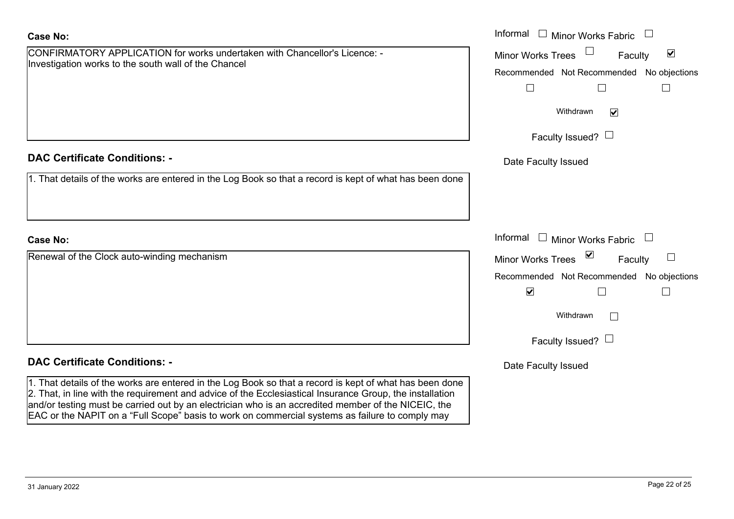| $\frac{1}{2}$                                                                                                                                                                                                                                                                                                                                                                                                                 |                          | Recommended Not Recommended No objections |  |
|-------------------------------------------------------------------------------------------------------------------------------------------------------------------------------------------------------------------------------------------------------------------------------------------------------------------------------------------------------------------------------------------------------------------------------|--------------------------|-------------------------------------------|--|
|                                                                                                                                                                                                                                                                                                                                                                                                                               |                          |                                           |  |
|                                                                                                                                                                                                                                                                                                                                                                                                                               |                          | Withdrawn<br>$\triangledown$              |  |
|                                                                                                                                                                                                                                                                                                                                                                                                                               |                          | Faculty Issued? $\Box$                    |  |
| <b>DAC Certificate Conditions: -</b>                                                                                                                                                                                                                                                                                                                                                                                          | Date Faculty Issued      |                                           |  |
| 1. That details of the works are entered in the Log Book so that a record is kept of what has been done                                                                                                                                                                                                                                                                                                                       |                          |                                           |  |
|                                                                                                                                                                                                                                                                                                                                                                                                                               |                          |                                           |  |
|                                                                                                                                                                                                                                                                                                                                                                                                                               |                          |                                           |  |
| <b>Case No:</b>                                                                                                                                                                                                                                                                                                                                                                                                               | Informal<br>$\mathbb{Z}$ | <b>Minor Works Fabric</b>                 |  |
| Renewal of the Clock auto-winding mechanism                                                                                                                                                                                                                                                                                                                                                                                   | <b>Minor Works Trees</b> | $\sum$<br>Faculty                         |  |
|                                                                                                                                                                                                                                                                                                                                                                                                                               |                          | Recommended Not Recommended No objections |  |
|                                                                                                                                                                                                                                                                                                                                                                                                                               | $\blacktriangledown$     |                                           |  |
|                                                                                                                                                                                                                                                                                                                                                                                                                               |                          | Withdrawn<br>$\Box$                       |  |
|                                                                                                                                                                                                                                                                                                                                                                                                                               |                          | Faculty Issued? $\Box$                    |  |
| <b>DAC Certificate Conditions: -</b>                                                                                                                                                                                                                                                                                                                                                                                          | Date Faculty Issued      |                                           |  |
| 1. That details of the works are entered in the Log Book so that a record is kept of what has been done<br>2. That, in line with the requirement and advice of the Ecclesiastical Insurance Group, the installation<br>and/or testing must be carried out by an electrician who is an accredited member of the NICEIC, the<br>EAC or the NAPIT on a "Full Scope" basis to work on commercial systems as failure to comply may |                          |                                           |  |

Faculty

 $\blacktriangledown$ 

Minor Works Fabric

Minor Works Trees

**Case No:**Informal

## CONFIRMATORY APPLICATION for works undertaken with Chancellor's Licence: - Investigation works to the south wall of the Chancel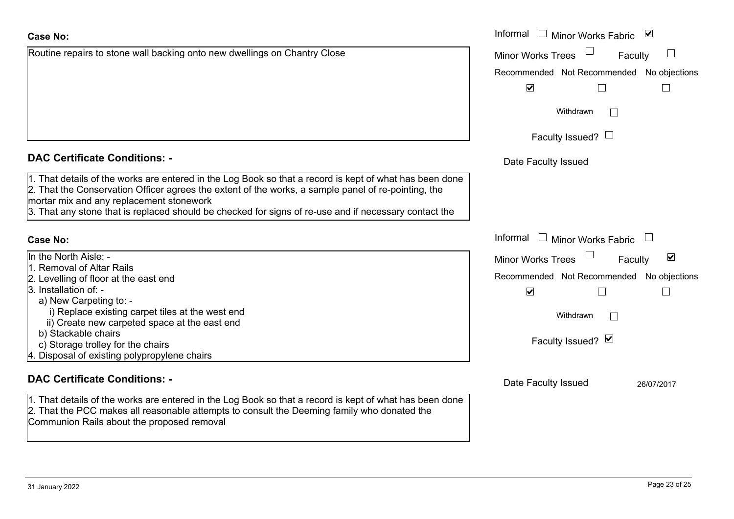| Case No:                                                                  |  |
|---------------------------------------------------------------------------|--|
| Routine repairs to stone wall backing onto new dwellings on Chantry Close |  |

| <b>DAC Certificate Conditions: -</b> |  |
|--------------------------------------|--|
|--------------------------------------|--|

1. That details of the works are entered in the Log Book so that a record is kept of what has be 2. That the Conservation Officer agrees the extent of the works, a sample panel of re-pointing, mortar mix and any replacement stonework

3. That any stone that is replaced should be checked for signs of re-use and if necessary conta

#### **Case No:**

#### In the North Aisle: -

3. Installation of: -

1. Removal of Altar Rails

a) New Carpeting to: -

b) Stackable chairs

#### **DAC Certificate Conditions: -**

c) Storage trolley for the chairs

4. Disposal of existing polypropylene chairs

2. Levelling of floor at the east end

 i) Replace existing carpet tiles at the west end ii) Create new carpeted space at the east end

1. That details of the works are entered in the Log Book so that a record is kept of what has been done 2. That the PCC makes all reasonable attempts to consult the Deeming family who donated the Communion Rails about the proposed removal

|                                                                                                                                                                                                                                                                                                                                  | Informal □ Minor Works Fabric ⊠                             |
|----------------------------------------------------------------------------------------------------------------------------------------------------------------------------------------------------------------------------------------------------------------------------------------------------------------------------------|-------------------------------------------------------------|
| epairs to stone wall backing onto new dwellings on Chantry Close                                                                                                                                                                                                                                                                 | <b>Minor Works Trees</b><br>Faculty                         |
|                                                                                                                                                                                                                                                                                                                                  | Recommended Not Recommended No objections                   |
|                                                                                                                                                                                                                                                                                                                                  |                                                             |
|                                                                                                                                                                                                                                                                                                                                  | $\blacktriangledown$                                        |
|                                                                                                                                                                                                                                                                                                                                  | Withdrawn                                                   |
|                                                                                                                                                                                                                                                                                                                                  | Faculty Issued? $\Box$                                      |
|                                                                                                                                                                                                                                                                                                                                  |                                                             |
| rtificate Conditions: -                                                                                                                                                                                                                                                                                                          | Date Faculty Issued                                         |
| etails of the works are entered in the Log Book so that a record is kept of what has been done<br>ne Conservation Officer agrees the extent of the works, a sample panel of re-pointing, the<br>ix and any replacement stonework<br>ny stone that is replaced should be checked for signs of re-use and if necessary contact the |                                                             |
|                                                                                                                                                                                                                                                                                                                                  | Informal $\Box$ Minor Works Fabric $\Box$                   |
| rth Aisle: -                                                                                                                                                                                                                                                                                                                     | $\blacktriangledown$<br><b>Minor Works Trees</b><br>Faculty |
| val of Altar Rails                                                                                                                                                                                                                                                                                                               |                                                             |
| ng of floor at the east end                                                                                                                                                                                                                                                                                                      | Recommended Not Recommended No objections                   |
| ation of: -                                                                                                                                                                                                                                                                                                                      | $\blacktriangledown$                                        |
| v Carpeting to: -                                                                                                                                                                                                                                                                                                                |                                                             |
| eplace existing carpet tiles at the west end                                                                                                                                                                                                                                                                                     | Withdrawn                                                   |
| eate new carpeted space at the east end                                                                                                                                                                                                                                                                                          |                                                             |
| ckable chairs                                                                                                                                                                                                                                                                                                                    | Faculty Issued? Ø                                           |
| age trolley for the chairs                                                                                                                                                                                                                                                                                                       |                                                             |
| al of existing polypropylene chairs                                                                                                                                                                                                                                                                                              |                                                             |
| rtificate Conditions: -                                                                                                                                                                                                                                                                                                          | Date Faculty Issued<br>26/07/2017                           |
|                                                                                                                                                                                                                                                                                                                                  |                                                             |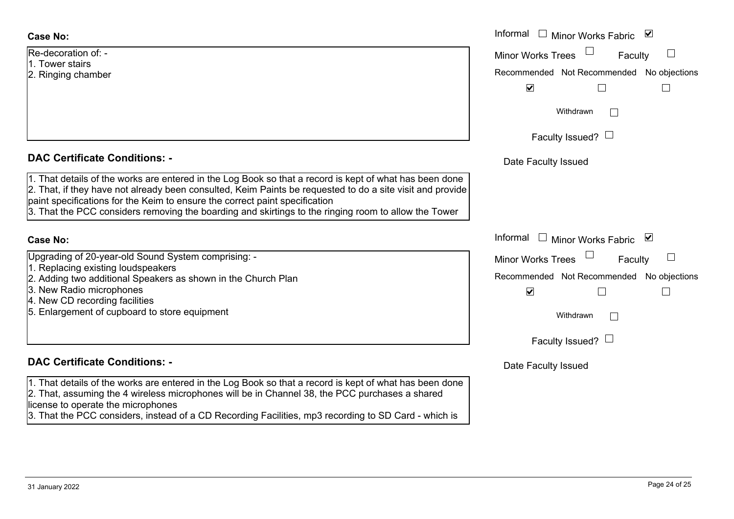#### **Case No:**

Re-decoration of: -1. Tower stairs

2. Ringing chamber

### **DAC Certificate Conditions: -**

1. That details of the works are entered in the Log Book so that a record is kept of what has been done 2. That, if they have not already been consulted, Keim Paints be requested to do a site visit and provide paint specifications for the Keim to ensure the correct paint specification 3. That the PCC considers removing the boarding and skirtings to the ringing room to allow the Tower

#### **Case No:**

| Upgrading of 20-year-old Sound System comprising: - |  |
|-----------------------------------------------------|--|
|-----------------------------------------------------|--|

- 1. Replacing existing loudspeakers
- 2. Adding two additional Speakers as shown in the Church Plan
- 3. New Radio microphones
- 4. New CD recording facilities
- 5. Enlargement of cupboard to store equipment

### **DAC Certificate Conditions: -**

1. That details of the works are entered in the Log Book so that a record is kept of what has been done 2. That, assuming the 4 wireless microphones will be in Channel 38, the PCC purchases a shared license to operate the microphones 3. That the PCC considers, instead of a CD Recording Facilities, mp3 recording to SD Card - which is

|                                                                                                                                                                                                                                                                                                                                                                        | Informal $\square$<br>Minor Works Fabric ⊠ |                        |        |
|------------------------------------------------------------------------------------------------------------------------------------------------------------------------------------------------------------------------------------------------------------------------------------------------------------------------------------------------------------------------|--------------------------------------------|------------------------|--------|
| ation of: -                                                                                                                                                                                                                                                                                                                                                            | Minor Works Trees                          | Faculty                | $\Box$ |
| stairs<br>g chamber                                                                                                                                                                                                                                                                                                                                                    | Recommended Not Recommended No objections  |                        |        |
|                                                                                                                                                                                                                                                                                                                                                                        | $\blacktriangledown$                       |                        |        |
|                                                                                                                                                                                                                                                                                                                                                                        |                                            | Withdrawn              |        |
|                                                                                                                                                                                                                                                                                                                                                                        |                                            | Faculty Issued? $\Box$ |        |
| rtificate Conditions: -                                                                                                                                                                                                                                                                                                                                                | Date Faculty Issued                        |                        |        |
| etails of the works are entered in the Log Book so that a record is kept of what has been done<br>f they have not already been consulted, Keim Paints be requested to do a site visit and provide<br>cifications for the Keim to ensure the correct paint specification<br>ne PCC considers removing the boarding and skirtings to the ringing room to allow the Tower |                                            |                        |        |
|                                                                                                                                                                                                                                                                                                                                                                        | Informal $\Box$ Minor Works Fabric         |                        |        |
| g of 20-year-old Sound System comprising: -                                                                                                                                                                                                                                                                                                                            | Minor Works Trees                          | Faculty                | $\Box$ |
| cing existing loudspeakers<br>two additional Speakers as shown in the Church Plan                                                                                                                                                                                                                                                                                      | Recommended Not Recommended No objections  |                        |        |
| adio microphones                                                                                                                                                                                                                                                                                                                                                       | $\blacktriangledown$                       |                        |        |
| D recording facilities                                                                                                                                                                                                                                                                                                                                                 |                                            |                        |        |
| ement of cupboard to store equipment                                                                                                                                                                                                                                                                                                                                   | Withdrawn                                  |                        |        |
|                                                                                                                                                                                                                                                                                                                                                                        |                                            | Faculty Issued? $\Box$ |        |
| rtificate Conditions: -                                                                                                                                                                                                                                                                                                                                                | Date Faculty Issued                        |                        |        |
| etails of the works are entered in the Log Book so that a record is kept of what has been done<br>issuming the 4 wireless microphones will be in Channel 38, the PCC purchases a shared                                                                                                                                                                                |                                            |                        |        |